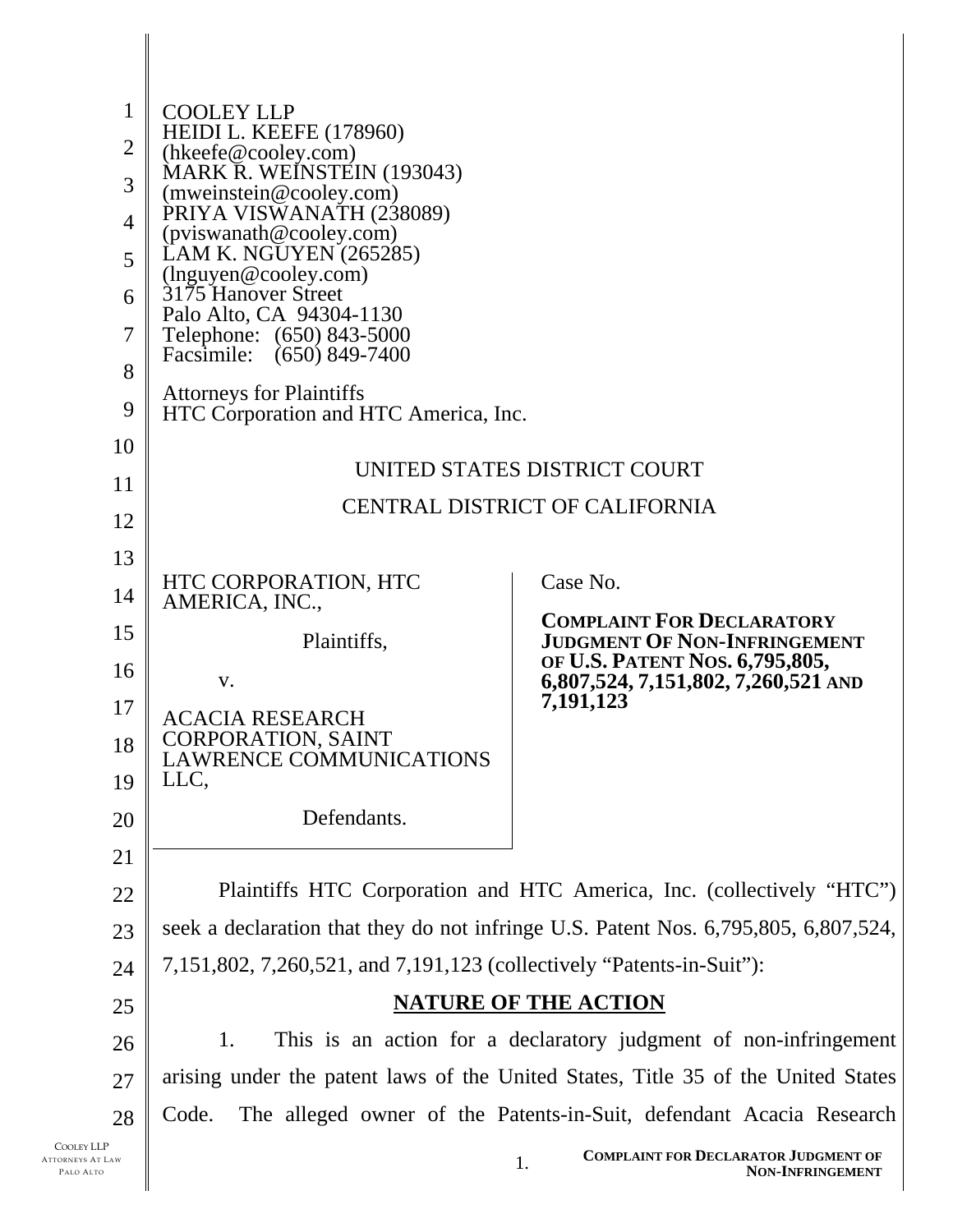| $\mathbf{1}$<br>$\overline{2}$<br>3<br>$\overline{4}$<br>5<br>6<br>7<br>8<br>9<br>10<br>11<br>12<br>13<br>14<br>15<br>16<br>17<br>18<br>19 | <b>COOLEY LLP</b><br><b>HEIDI L. KEEFE (178960)</b><br>(hkeefe@cooley.com)<br>MARK R. WEINSTEIN (193043)<br>(mweinstein@cooley.com)<br>PRIYA VISWANATH (238089)<br>(pviswanath@cooley.com)<br>LAM K. NGUYEN (265285)<br>$(\text{lnguyen@cooley.com})$<br>3175 Hanover Street<br>Palo Alto, CA 94304-1130<br>Telephone: (650) 843-5000<br>Facsimile:<br>$(650)$ 849-7400<br><b>Attorneys for Plaintiffs</b><br>HTC Corporation and HTC America, Inc.<br>UNITED STATES DISTRICT COURT<br><b>CENTRAL DISTRICT OF CALIFORNIA</b><br>Case No.<br>HTC CORPORATION, HTC<br>AMERICA, INC.,<br><b>COMPLAINT FOR DECLARATORY</b><br><b>JUDGMENT OF NON-INFRINGEMENT</b><br>Plaintiffs,<br>OF U.S. PATENT NOS. 6,795,805,<br>6,807,524, 7,151,802, 7,260,521 AND<br>V.<br>7,191,123<br><b>ACACIA RESEARCH</b><br><b>CORPORATION, SAINT</b><br><b>LAWRENCE COMMUNICATIONS</b> |                                                                              |  |  |  |
|--------------------------------------------------------------------------------------------------------------------------------------------|-------------------------------------------------------------------------------------------------------------------------------------------------------------------------------------------------------------------------------------------------------------------------------------------------------------------------------------------------------------------------------------------------------------------------------------------------------------------------------------------------------------------------------------------------------------------------------------------------------------------------------------------------------------------------------------------------------------------------------------------------------------------------------------------------------------------------------------------------------------------|------------------------------------------------------------------------------|--|--|--|
| 20                                                                                                                                         | LLC,<br>Defendants.                                                                                                                                                                                                                                                                                                                                                                                                                                                                                                                                                                                                                                                                                                                                                                                                                                               |                                                                              |  |  |  |
| 21                                                                                                                                         |                                                                                                                                                                                                                                                                                                                                                                                                                                                                                                                                                                                                                                                                                                                                                                                                                                                                   |                                                                              |  |  |  |
| 22                                                                                                                                         | Plaintiffs HTC Corporation and HTC America, Inc. (collectively "HTC")                                                                                                                                                                                                                                                                                                                                                                                                                                                                                                                                                                                                                                                                                                                                                                                             |                                                                              |  |  |  |
| 23                                                                                                                                         | seek a declaration that they do not infringe U.S. Patent Nos. 6,795,805, 6,807,524,                                                                                                                                                                                                                                                                                                                                                                                                                                                                                                                                                                                                                                                                                                                                                                               |                                                                              |  |  |  |
| 24                                                                                                                                         | 7,151,802, 7,260,521, and 7,191,123 (collectively "Patents-in-Suit"):                                                                                                                                                                                                                                                                                                                                                                                                                                                                                                                                                                                                                                                                                                                                                                                             |                                                                              |  |  |  |
| 25                                                                                                                                         | <b>NATURE OF THE ACTION</b>                                                                                                                                                                                                                                                                                                                                                                                                                                                                                                                                                                                                                                                                                                                                                                                                                                       |                                                                              |  |  |  |
| 26                                                                                                                                         | 1.<br>This is an action for a declaratory judgment of non-infringement                                                                                                                                                                                                                                                                                                                                                                                                                                                                                                                                                                                                                                                                                                                                                                                            |                                                                              |  |  |  |
| 27                                                                                                                                         | arising under the patent laws of the United States, Title 35 of the United States                                                                                                                                                                                                                                                                                                                                                                                                                                                                                                                                                                                                                                                                                                                                                                                 |                                                                              |  |  |  |
| 28                                                                                                                                         | Code.<br>The alleged owner of the Patents-in-Suit, defendant Acacia Research                                                                                                                                                                                                                                                                                                                                                                                                                                                                                                                                                                                                                                                                                                                                                                                      |                                                                              |  |  |  |
| AW                                                                                                                                         |                                                                                                                                                                                                                                                                                                                                                                                                                                                                                                                                                                                                                                                                                                                                                                                                                                                                   | <b>COMPLAINT FOR DECLARATOR JUDGMENT OF</b><br>1.<br><b>NON-INFRINGEMENT</b> |  |  |  |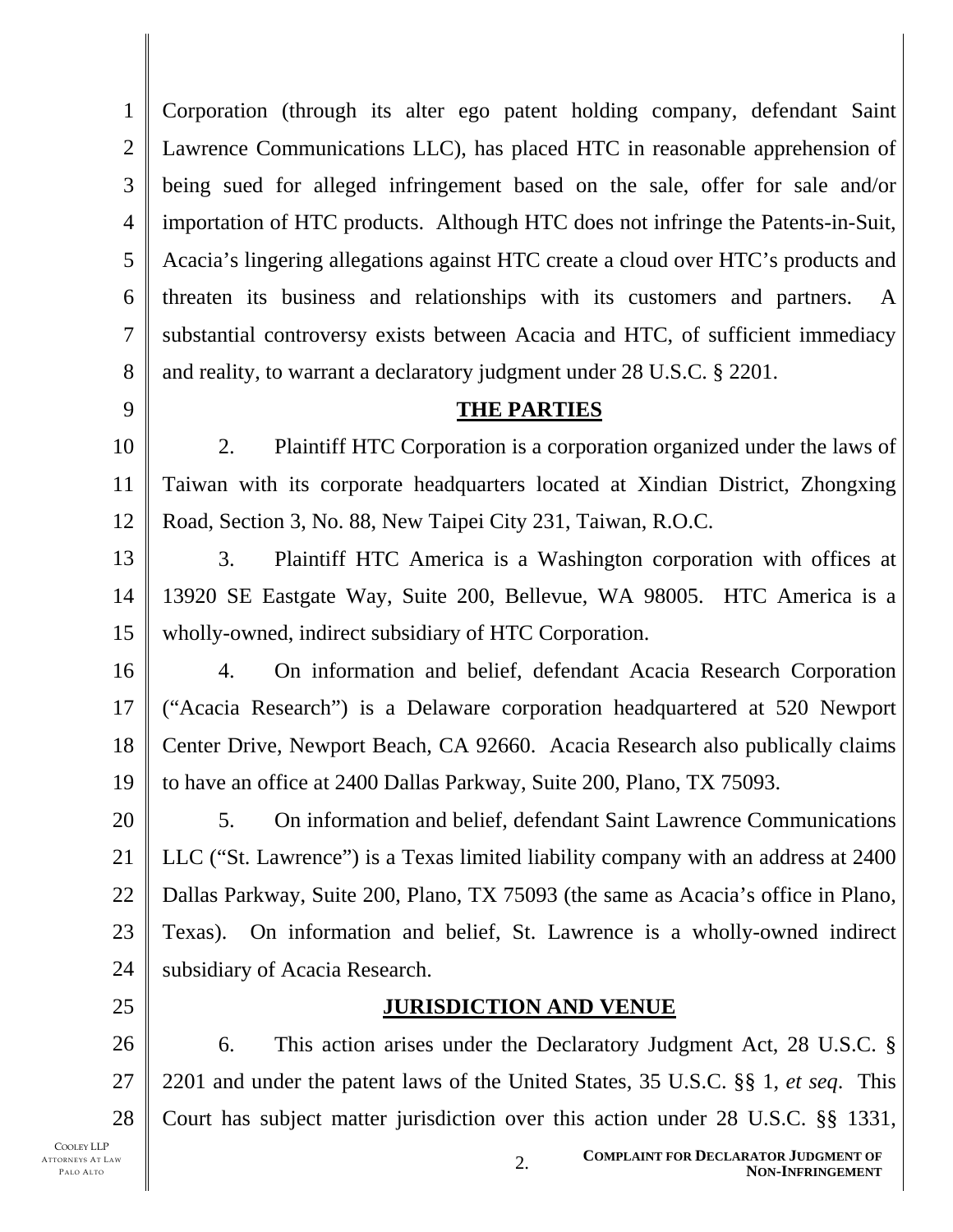1 2 3 4 5 6 7 8 Corporation (through its alter ego patent holding company, defendant Saint Lawrence Communications LLC), has placed HTC in reasonable apprehension of being sued for alleged infringement based on the sale, offer for sale and/or importation of HTC products. Although HTC does not infringe the Patents-in-Suit, Acacia's lingering allegations against HTC create a cloud over HTC's products and threaten its business and relationships with its customers and partners. A substantial controversy exists between Acacia and HTC, of sufficient immediacy and reality, to warrant a declaratory judgment under 28 U.S.C. § 2201.

9

## **THE PARTIES**

10 11 12 2. Plaintiff HTC Corporation is a corporation organized under the laws of Taiwan with its corporate headquarters located at Xindian District, Zhongxing Road, Section 3, No. 88, New Taipei City 231, Taiwan, R.O.C.

13 14 15 3. Plaintiff HTC America is a Washington corporation with offices at 13920 SE Eastgate Way, Suite 200, Bellevue, WA 98005. HTC America is a wholly-owned, indirect subsidiary of HTC Corporation.

16 17 18 19 4. On information and belief, defendant Acacia Research Corporation ("Acacia Research") is a Delaware corporation headquartered at 520 Newport Center Drive, Newport Beach, CA 92660. Acacia Research also publically claims to have an office at 2400 Dallas Parkway, Suite 200, Plano, TX 75093.

20 21 22 23 24 5. On information and belief, defendant Saint Lawrence Communications LLC ("St. Lawrence") is a Texas limited liability company with an address at 2400 Dallas Parkway, Suite 200, Plano, TX 75093 (the same as Acacia's office in Plano, Texas). On information and belief, St. Lawrence is a wholly-owned indirect subsidiary of Acacia Research.

25

## **JURISDICTION AND VENUE**

26 27 28 6. This action arises under the Declaratory Judgment Act, 28 U.S.C. § 2201 and under the patent laws of the United States, 35 U.S.C. §§ 1, *et seq*. This Court has subject matter jurisdiction over this action under 28 U.S.C. §§ 1331,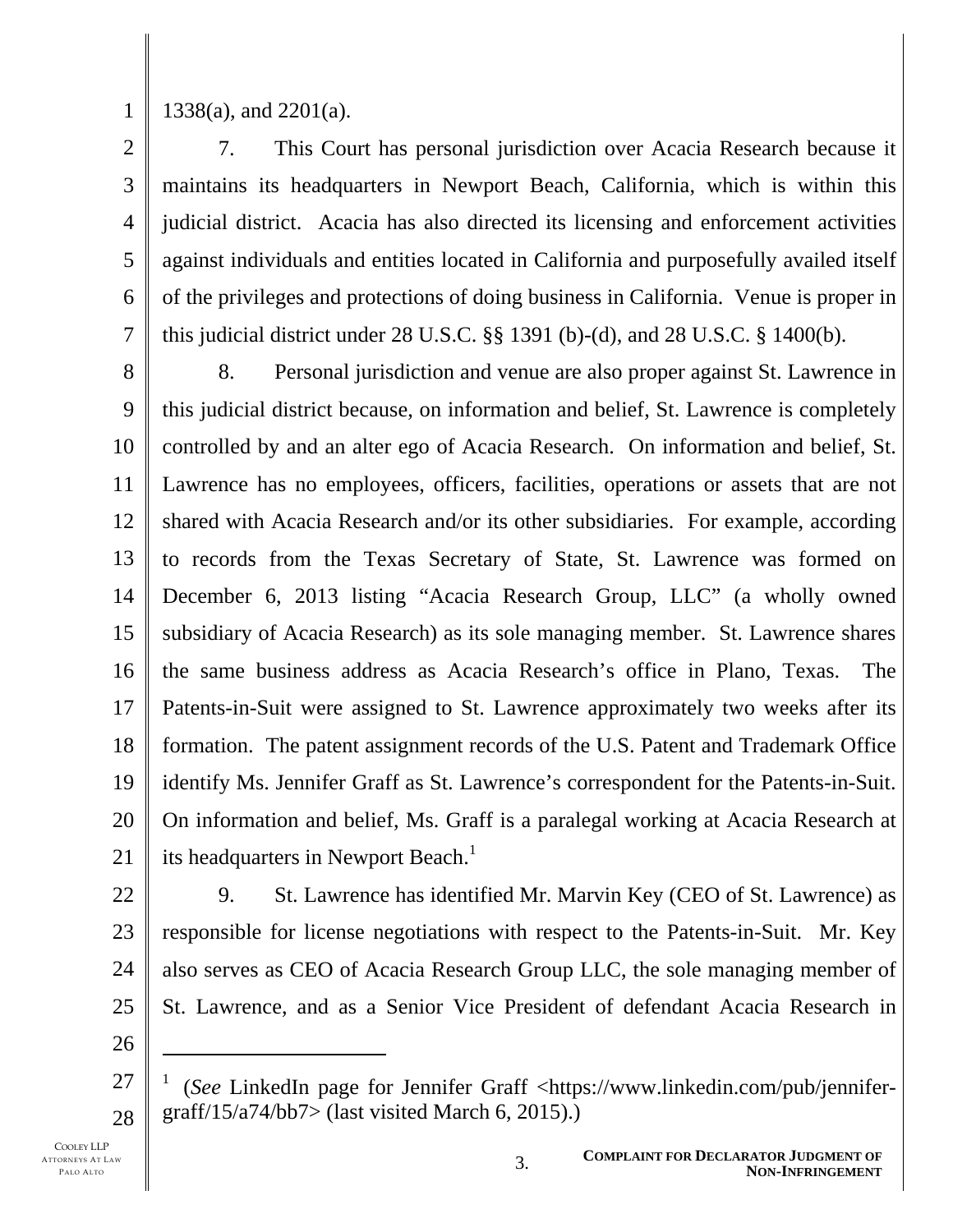1

1338(a), and 2201(a).

2 3 4 5 6 7 7. This Court has personal jurisdiction over Acacia Research because it maintains its headquarters in Newport Beach, California, which is within this judicial district. Acacia has also directed its licensing and enforcement activities against individuals and entities located in California and purposefully availed itself of the privileges and protections of doing business in California. Venue is proper in this judicial district under 28 U.S.C. §§ 1391 (b)-(d), and 28 U.S.C. § 1400(b).

8 9 10 11 12 13 14 15 16 17 18 19 20 21 8. Personal jurisdiction and venue are also proper against St. Lawrence in this judicial district because, on information and belief, St. Lawrence is completely controlled by and an alter ego of Acacia Research. On information and belief, St. Lawrence has no employees, officers, facilities, operations or assets that are not shared with Acacia Research and/or its other subsidiaries. For example, according to records from the Texas Secretary of State, St. Lawrence was formed on December 6, 2013 listing "Acacia Research Group, LLC" (a wholly owned subsidiary of Acacia Research) as its sole managing member. St. Lawrence shares the same business address as Acacia Research's office in Plano, Texas. The Patents-in-Suit were assigned to St. Lawrence approximately two weeks after its formation. The patent assignment records of the U.S. Patent and Trademark Office identify Ms. Jennifer Graff as St. Lawrence's correspondent for the Patents-in-Suit. On information and belief, Ms. Graff is a paralegal working at Acacia Research at its headquarters in Newport Beach.<sup>1</sup>

22

23 24 25 9. St. Lawrence has identified Mr. Marvin Key (CEO of St. Lawrence) as responsible for license negotiations with respect to the Patents-in-Suit. Mr. Key also serves as CEO of Acacia Research Group LLC, the sole managing member of St. Lawrence, and as a Senior Vice President of defendant Acacia Research in

26

 $\overline{a}$ 

<sup>27</sup>  28 1 (*See* LinkedIn page for Jennifer Graff <https://www.linkedin.com/pub/jennifergraff/15/a74/bb7> (last visited March 6, 2015).)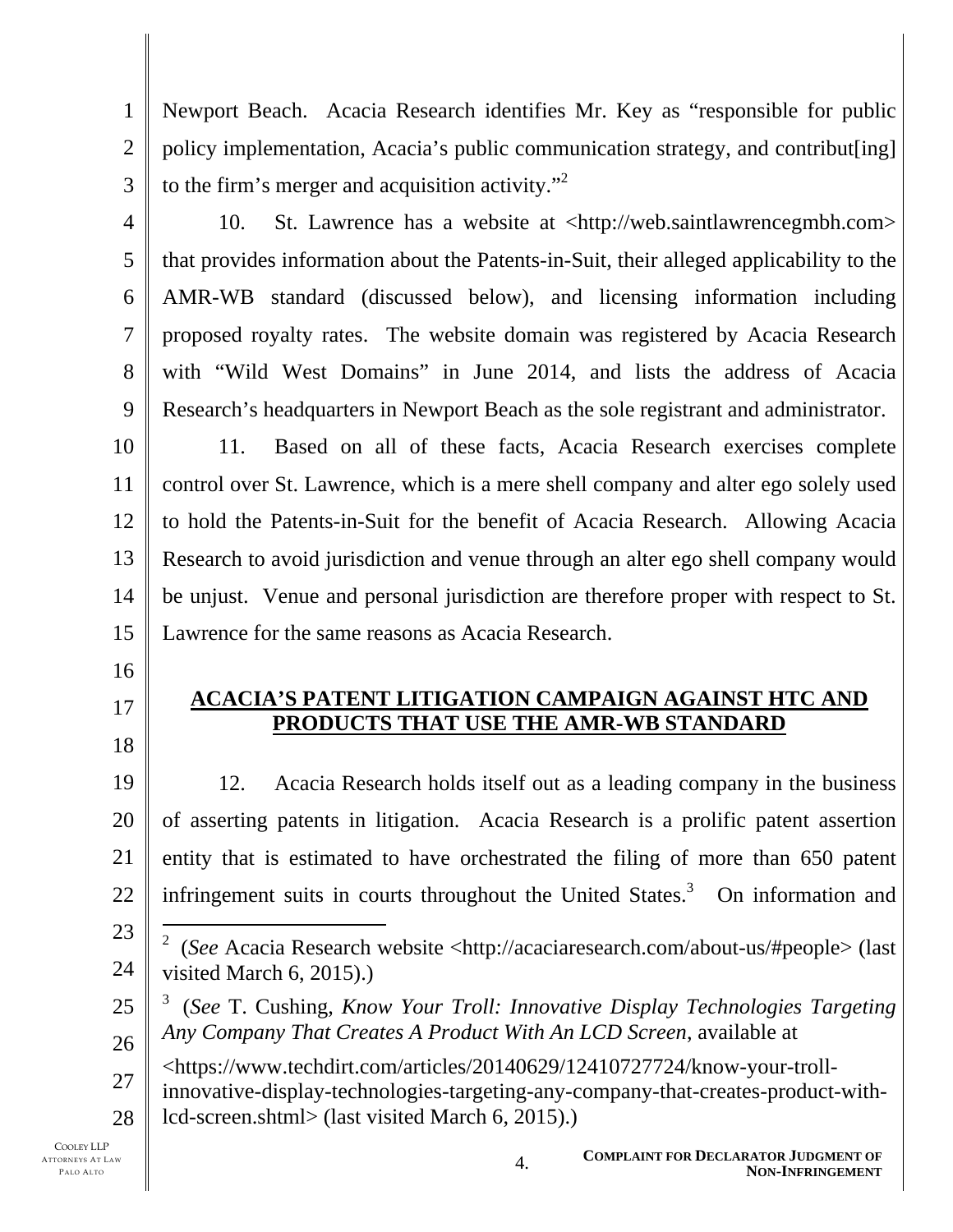1 2 3 Newport Beach. Acacia Research identifies Mr. Key as "responsible for public policy implementation, Acacia's public communication strategy, and contribut[ing] to the firm's merger and acquisition activity. $^{32}$ 

4

5

6

7

8

9

10. St. Lawrence has a website at <http://web.saintlawrencegmbh.com> that provides information about the Patents-in-Suit, their alleged applicability to the AMR-WB standard (discussed below), and licensing information including proposed royalty rates. The website domain was registered by Acacia Research with "Wild West Domains" in June 2014, and lists the address of Acacia Research's headquarters in Newport Beach as the sole registrant and administrator.

10 11 12 13 14 15 11. Based on all of these facts, Acacia Research exercises complete control over St. Lawrence, which is a mere shell company and alter ego solely used to hold the Patents-in-Suit for the benefit of Acacia Research. Allowing Acacia Research to avoid jurisdiction and venue through an alter ego shell company would be unjust. Venue and personal jurisdiction are therefore proper with respect to St. Lawrence for the same reasons as Acacia Research.

- 16
- 17
- 18

19

**ACACIA'S PATENT LITIGATION CAMPAIGN AGAINST HTC AND PRODUCTS THAT USE THE AMR-WB STANDARD** 

20 21 22 12. Acacia Research holds itself out as a leading company in the business of asserting patents in litigation. Acacia Research is a prolific patent assertion entity that is estimated to have orchestrated the filing of more than 650 patent infringement suits in courts throughout the United States. $3$  On information and

- 25 26 3 (*See* T. Cushing, *Know Your Troll: Innovative Display Technologies Targeting Any Company That Creates A Product With An LCD Screen*, available at
	- <https://www.techdirt.com/articles/20140629/12410727724/know-your-troll-
- 27 28 innovative-display-technologies-targeting-any-company-that-creates-product-withlcd-screen.shtml> (last visited March 6, 2015).)

<sup>23</sup>  24 l 2 (*See* Acacia Research website <http://acaciaresearch.com/about-us/#people> (last visited March 6, 2015).)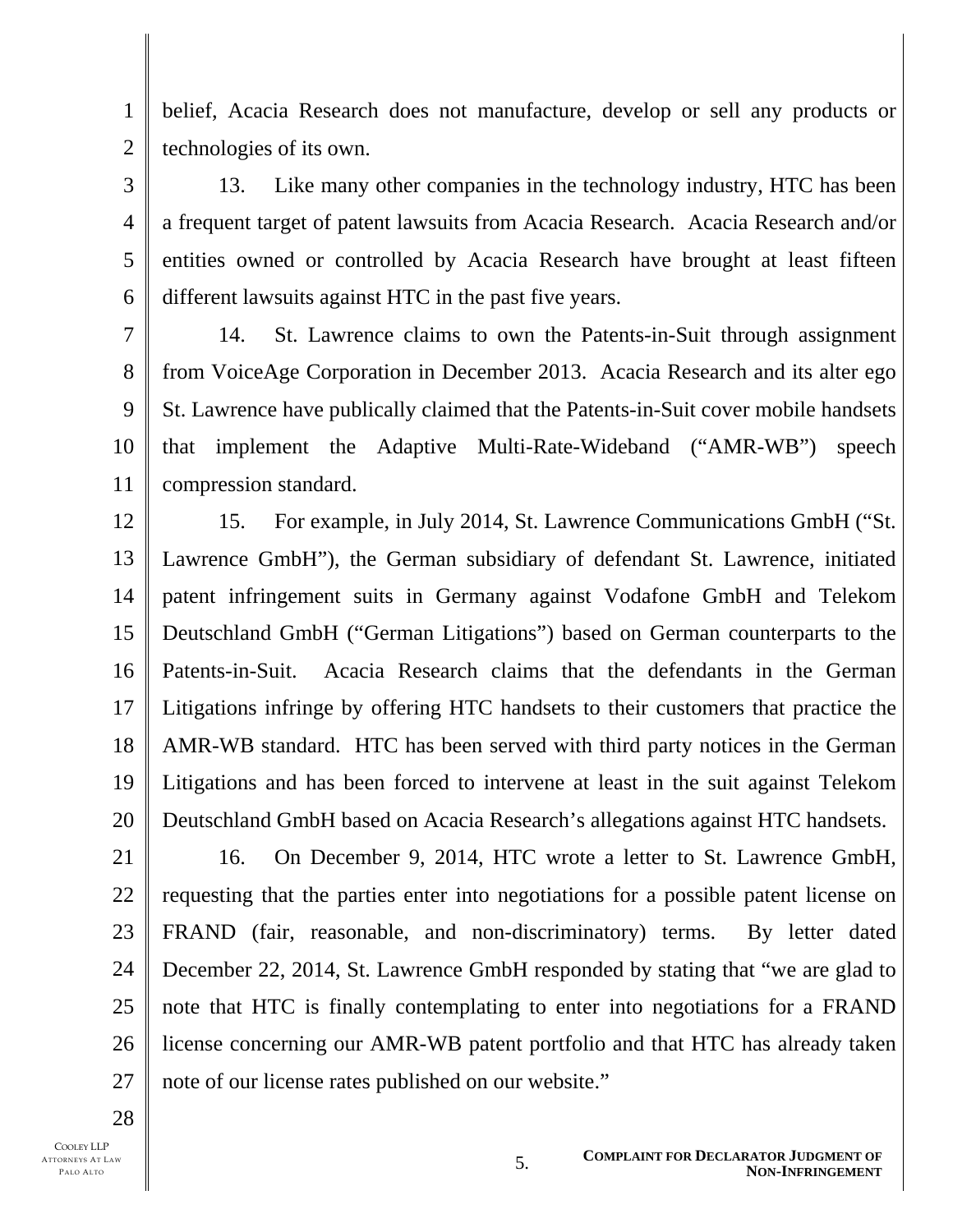1 2 belief, Acacia Research does not manufacture, develop or sell any products or technologies of its own.

3 4 13. Like many other companies in the technology industry, HTC has been a frequent target of patent lawsuits from Acacia Research. Acacia Research and/or entities owned or controlled by Acacia Research have brought at least fifteen different lawsuits against HTC in the past five years.

7 8 9 10 11 14. St. Lawrence claims to own the Patents-in-Suit through assignment from VoiceAge Corporation in December 2013. Acacia Research and its alter ego St. Lawrence have publically claimed that the Patents-in-Suit cover mobile handsets that implement the Adaptive Multi-Rate-Wideband ("AMR-WB") speech compression standard.

12 13 14 15 16 17 18 19 20 15. For example, in July 2014, St. Lawrence Communications GmbH ("St. Lawrence GmbH"), the German subsidiary of defendant St. Lawrence, initiated patent infringement suits in Germany against Vodafone GmbH and Telekom Deutschland GmbH ("German Litigations") based on German counterparts to the Patents-in-Suit. Acacia Research claims that the defendants in the German Litigations infringe by offering HTC handsets to their customers that practice the AMR-WB standard. HTC has been served with third party notices in the German Litigations and has been forced to intervene at least in the suit against Telekom Deutschland GmbH based on Acacia Research's allegations against HTC handsets.

16. On December 9, 2014, HTC wrote a letter to St. Lawrence GmbH,

requesting that the parties enter into negotiations for a possible patent license on

FRAND (fair, reasonable, and non-discriminatory) terms. By letter dated

December 22, 2014, St. Lawrence GmbH responded by stating that "we are glad to

note that HTC is finally contemplating to enter into negotiations for a FRAND

license concerning our AMR-WB patent portfolio and that HTC has already taken

note of our license rates published on our website."

5

6

28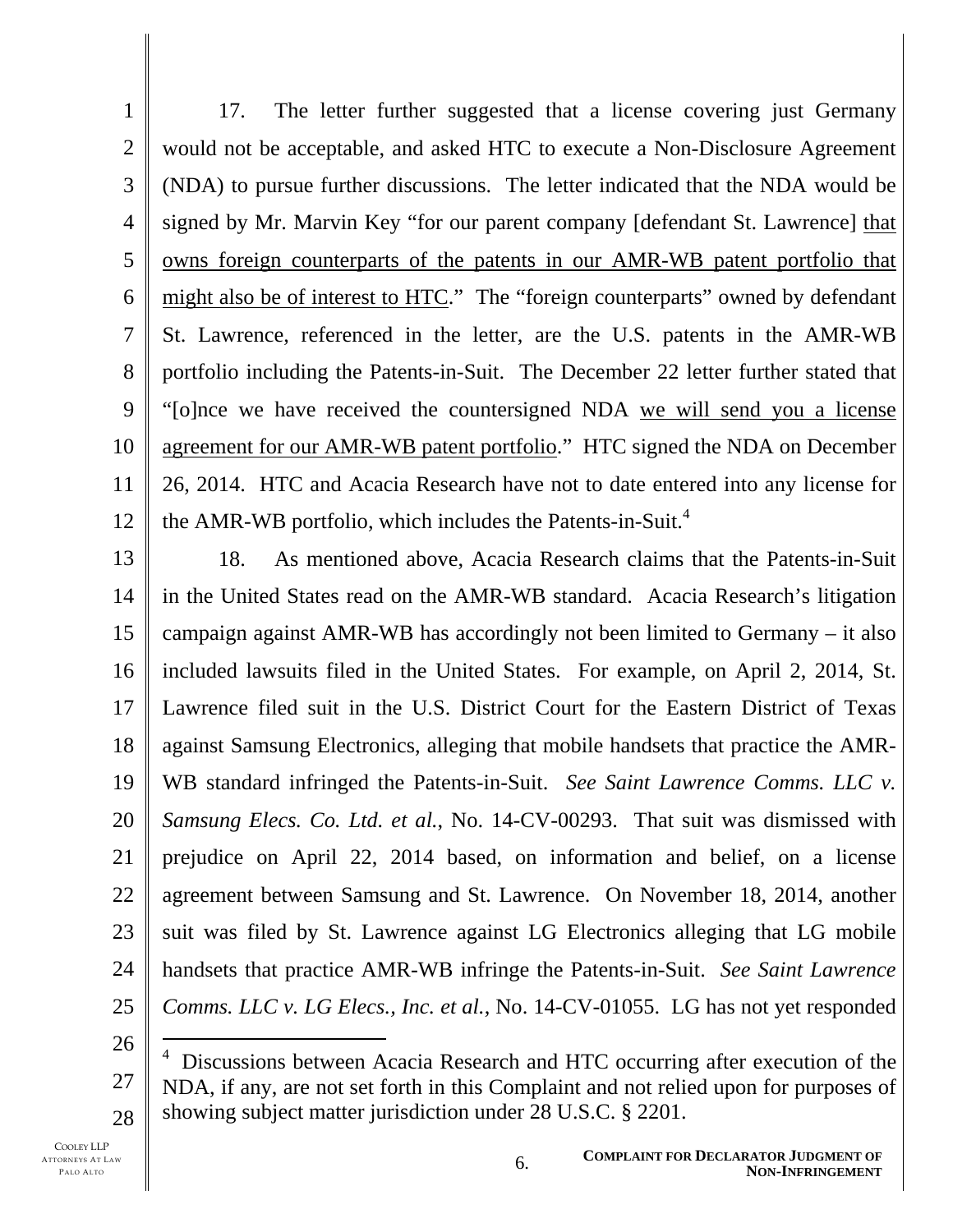1 2 3 4 5 6 7 8 9 10 11 12 17. The letter further suggested that a license covering just Germany would not be acceptable, and asked HTC to execute a Non-Disclosure Agreement (NDA) to pursue further discussions. The letter indicated that the NDA would be signed by Mr. Marvin Key "for our parent company [defendant St. Lawrence] that owns foreign counterparts of the patents in our AMR-WB patent portfolio that might also be of interest to HTC." The "foreign counterparts" owned by defendant St. Lawrence, referenced in the letter, are the U.S. patents in the AMR-WB portfolio including the Patents-in-Suit. The December 22 letter further stated that "[o]nce we have received the countersigned NDA we will send you a license agreement for our AMR-WB patent portfolio." HTC signed the NDA on December 26, 2014. HTC and Acacia Research have not to date entered into any license for the AMR-WB portfolio, which includes the Patents-in-Suit.<sup>4</sup>

13 14 15 16 17 18 19 20 21 22 23 24 25 18. As mentioned above, Acacia Research claims that the Patents-in-Suit in the United States read on the AMR-WB standard. Acacia Research's litigation campaign against AMR-WB has accordingly not been limited to Germany – it also included lawsuits filed in the United States. For example, on April 2, 2014, St. Lawrence filed suit in the U.S. District Court for the Eastern District of Texas against Samsung Electronics, alleging that mobile handsets that practice the AMR-WB standard infringed the Patents-in-Suit. *See Saint Lawrence Comms. LLC v. Samsung Elecs. Co. Ltd. et al.*, No. 14-CV-00293. That suit was dismissed with prejudice on April 22, 2014 based, on information and belief, on a license agreement between Samsung and St. Lawrence. On November 18, 2014, another suit was filed by St. Lawrence against LG Electronics alleging that LG mobile handsets that practice AMR-WB infringe the Patents-in-Suit. *See Saint Lawrence Comms. LLC v. LG Elecs., Inc. et al.*, No. 14-CV-01055. LG has not yet responded

26

l

<sup>27</sup>  28 <sup>4</sup> Discussions between Acacia Research and HTC occurring after execution of the NDA, if any, are not set forth in this Complaint and not relied upon for purposes of showing subject matter jurisdiction under 28 U.S.C. § 2201.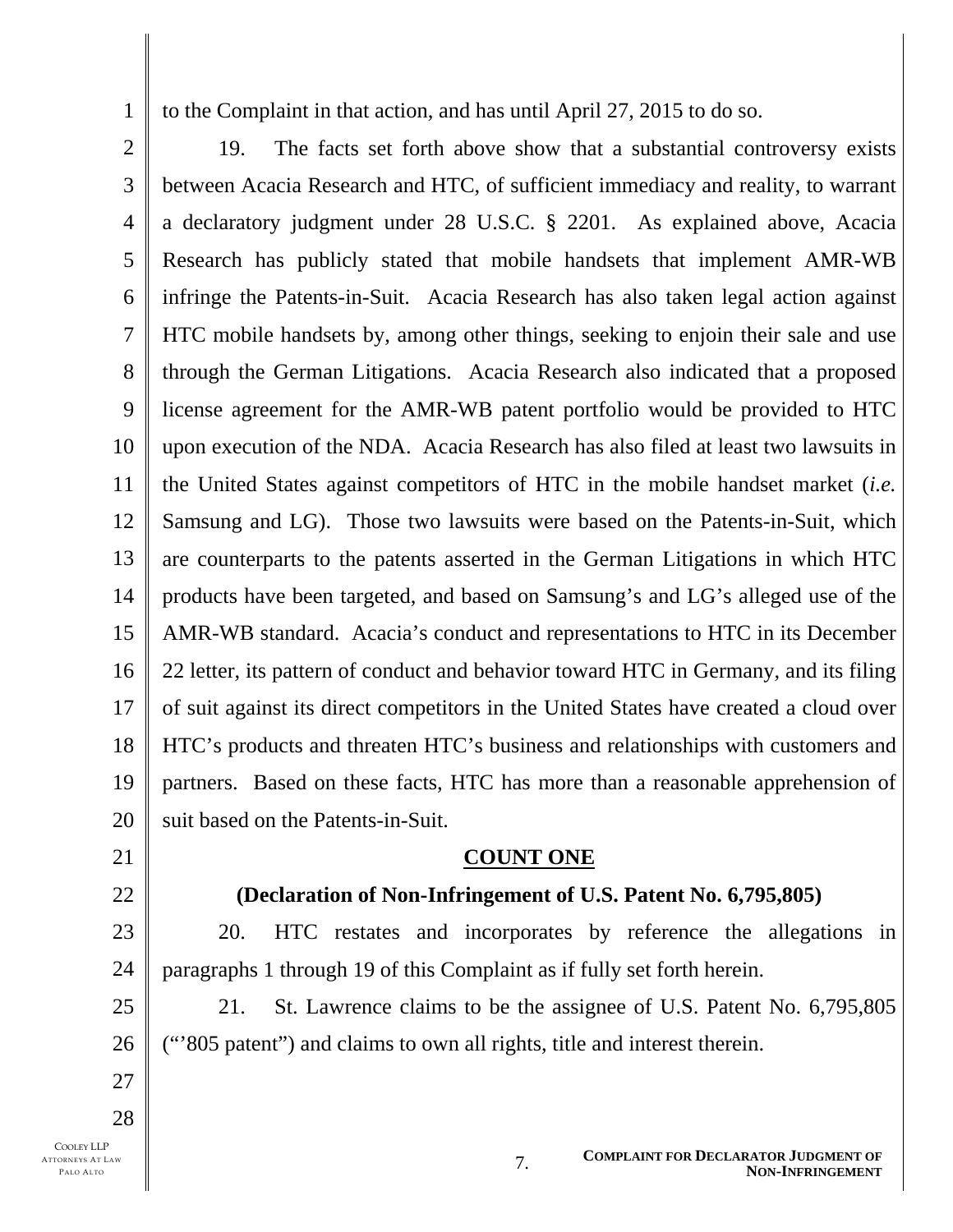to the Complaint in that action, and has until April 27, 2015 to do so.

2 3 4 5 6 7 8 9 10 11 12 13 14 15 16 17 18 19 20 19. The facts set forth above show that a substantial controversy exists between Acacia Research and HTC, of sufficient immediacy and reality, to warrant a declaratory judgment under 28 U.S.C. § 2201. As explained above, Acacia Research has publicly stated that mobile handsets that implement AMR-WB infringe the Patents-in-Suit. Acacia Research has also taken legal action against HTC mobile handsets by, among other things, seeking to enjoin their sale and use through the German Litigations. Acacia Research also indicated that a proposed license agreement for the AMR-WB patent portfolio would be provided to HTC upon execution of the NDA. Acacia Research has also filed at least two lawsuits in the United States against competitors of HTC in the mobile handset market (*i.e.* Samsung and LG). Those two lawsuits were based on the Patents-in-Suit, which are counterparts to the patents asserted in the German Litigations in which HTC products have been targeted, and based on Samsung's and LG's alleged use of the AMR-WB standard. Acacia's conduct and representations to HTC in its December 22 letter, its pattern of conduct and behavior toward HTC in Germany, and its filing of suit against its direct competitors in the United States have created a cloud over HTC's products and threaten HTC's business and relationships with customers and partners. Based on these facts, HTC has more than a reasonable apprehension of suit based on the Patents-in-Suit.

21

22

23

25

26

27

28

1

**COUNT ONE**

## **(Declaration of Non-Infringement of U.S. Patent No. 6,795,805)**

24 20. HTC restates and incorporates by reference the allegations in paragraphs 1 through 19 of this Complaint as if fully set forth herein.

21. St. Lawrence claims to be the assignee of U.S. Patent No. 6,795,805 ("'805 patent") and claims to own all rights, title and interest therein.

COOLEY LLP ATTORNEYS AT LAW PALO ALTO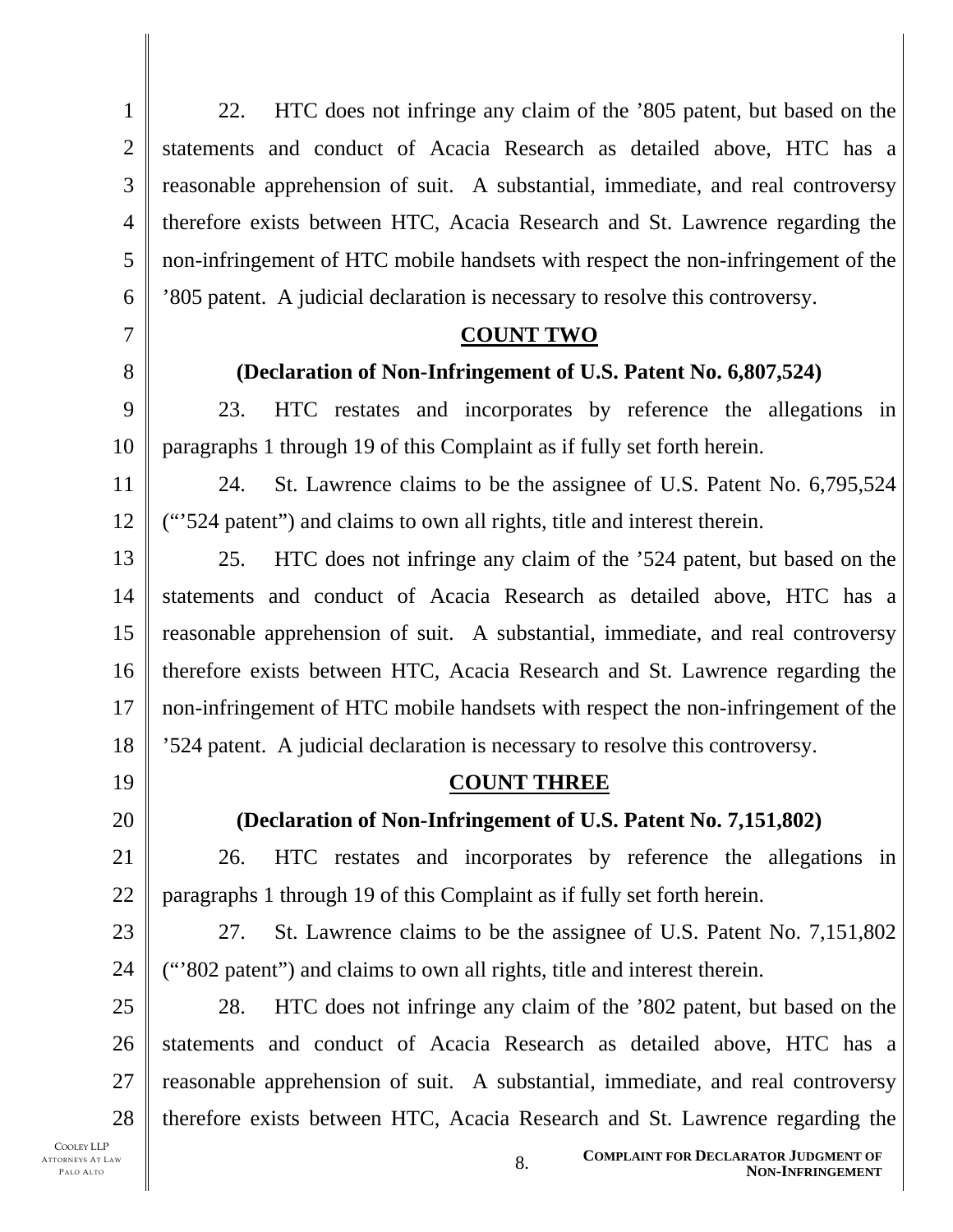1 2 3 4 5 6 7 8 9 10 11 12 13 14 15 16 17 18 19 20 21 22 23 24 25 26 27 28 22. HTC does not infringe any claim of the '805 patent, but based on the statements and conduct of Acacia Research as detailed above, HTC has a reasonable apprehension of suit. A substantial, immediate, and real controversy therefore exists between HTC, Acacia Research and St. Lawrence regarding the non-infringement of HTC mobile handsets with respect the non-infringement of the '805 patent. A judicial declaration is necessary to resolve this controversy. **COUNT TWO (Declaration of Non-Infringement of U.S. Patent No. 6,807,524)**  23. HTC restates and incorporates by reference the allegations in paragraphs 1 through 19 of this Complaint as if fully set forth herein. 24. St. Lawrence claims to be the assignee of U.S. Patent No. 6,795,524 ("'524 patent") and claims to own all rights, title and interest therein. 25. HTC does not infringe any claim of the '524 patent, but based on the statements and conduct of Acacia Research as detailed above, HTC has a reasonable apprehension of suit. A substantial, immediate, and real controversy therefore exists between HTC, Acacia Research and St. Lawrence regarding the non-infringement of HTC mobile handsets with respect the non-infringement of the '524 patent. A judicial declaration is necessary to resolve this controversy. **COUNT THREE (Declaration of Non-Infringement of U.S. Patent No. 7,151,802)**  26. HTC restates and incorporates by reference the allegations in paragraphs 1 through 19 of this Complaint as if fully set forth herein. 27. St. Lawrence claims to be the assignee of U.S. Patent No. 7,151,802 ("'802 patent") and claims to own all rights, title and interest therein. 28. HTC does not infringe any claim of the '802 patent, but based on the statements and conduct of Acacia Research as detailed above, HTC has a reasonable apprehension of suit. A substantial, immediate, and real controversy therefore exists between HTC, Acacia Research and St. Lawrence regarding the

COOLEY LLP ATTORNEYS AT LAW PALO ALTO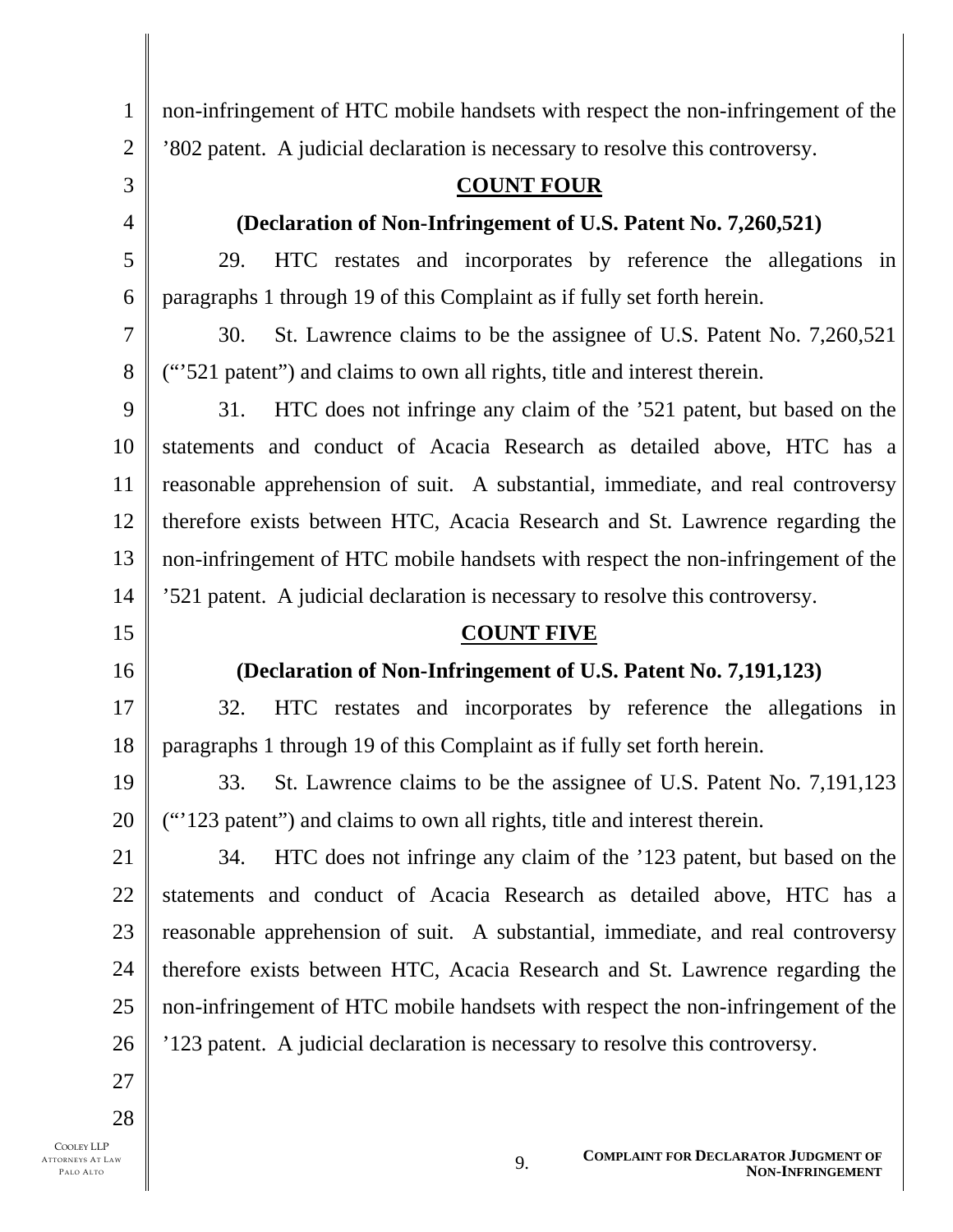1 2 3 4 5 6 7 8 9 10 11 12 13 14 15 16 17 18 19 20 21 22 23 24 non-infringement of HTC mobile handsets with respect the non-infringement of the '802 patent. A judicial declaration is necessary to resolve this controversy. **COUNT FOUR (Declaration of Non-Infringement of U.S. Patent No. 7,260,521)**  29. HTC restates and incorporates by reference the allegations in paragraphs 1 through 19 of this Complaint as if fully set forth herein. 30. St. Lawrence claims to be the assignee of U.S. Patent No. 7,260,521 ("'521 patent") and claims to own all rights, title and interest therein. 31. HTC does not infringe any claim of the '521 patent, but based on the statements and conduct of Acacia Research as detailed above, HTC has a reasonable apprehension of suit. A substantial, immediate, and real controversy therefore exists between HTC, Acacia Research and St. Lawrence regarding the non-infringement of HTC mobile handsets with respect the non-infringement of the '521 patent. A judicial declaration is necessary to resolve this controversy. **COUNT FIVE (Declaration of Non-Infringement of U.S. Patent No. 7,191,123)**  32. HTC restates and incorporates by reference the allegations in paragraphs 1 through 19 of this Complaint as if fully set forth herein. 33. St. Lawrence claims to be the assignee of U.S. Patent No. 7,191,123 ("'123 patent") and claims to own all rights, title and interest therein. 34. HTC does not infringe any claim of the '123 patent, but based on the statements and conduct of Acacia Research as detailed above, HTC has a reasonable apprehension of suit. A substantial, immediate, and real controversy

therefore exists between HTC, Acacia Research and St. Lawrence regarding the non-infringement of HTC mobile handsets with respect the non-infringement of the '123 patent. A judicial declaration is necessary to resolve this controversy.

27

25

26

28